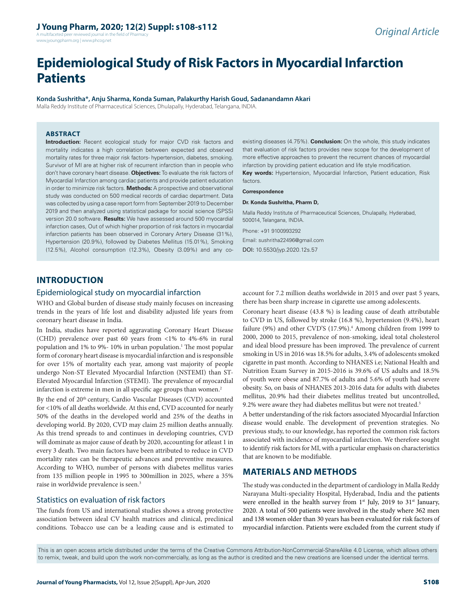# **J Young Pharm, 2020; 12(2) Suppl: s108-s112**

A multifaceted peer reviewed journal in the field of Pharm www.jyoungpharm.org | www.phcog.net

# **Epidemiological Study of Risk Factors in Myocardial Infarction Patients**

**Konda Sushritha\*, Anju Sharma, Konda Suman, Palakurthy Harish Goud, Sadanandamn Akari** Malla Reddy Institute of Pharmaceutical Sciences, Dhulapally, Hyderabad, Telangana, INDIA.

#### **ABSTRACT**

**Introduction:** Recent ecological study for major CVD risk factors and mortality indicates a high correlation between expected and observed mortality rates for three major risk factors- hypertension, diabetes, smoking. Survivor of MI are at higher risk of recurrent infarction than in people who don't have coronary heart disease. **Objectives:** To evaluate the risk factors of Myocardial Infarction among cardiac patients and provide patient education in order to minimize risk factors. **Methods:** A prospective and observational study was conducted on 500 medical records of cardiac department. Data was collected by using a case report form from September 2019 to December 2019 and then analyzed using statistical package for social science (SPSS) version 20.0 software. **Results:** We have assessed around 500 myocardial infarction cases, Out of which higher proportion of risk factors in myocardial infarction patients has been observed in Coronary Artery Disease (31%), Hypertension (20.9%), followed by Diabetes Mellitus (15.01%), Smoking (12.5%), Alcohol consumption (12.3%), Obesity (3.09%) and any coexisting diseases (4.75%). **Conclusion:** On the whole, this study indicates that evaluation of risk factors provides new scope for the development of more effective approaches to prevent the recurrent chances of myocardial infarction by providing patient education and life style modification. **Key words:** Hypertension, Myocardial Infarction, Patient education, Risk factors.

#### **Correspondence**

#### **Dr. Konda Sushritha, Pharm D,**

Malla Reddy Institute of Pharmaceutical Sciences, Dhulapally, Hyderabad, 500014, Telangana, INDIA.

Phone: +91 9100993292

Email: sushritha22496@gmail.com DOI: 10.5530/jyp.2020.12s.57

# **INTRODUCTION**

#### Epidemiological study on myocardial infarction

WHO and Global burden of disease study mainly focuses on increasing trends in the years of life lost and disability adjusted life years from coronary heart disease in India.

In India, studies have reported aggravating Coronary Heart Disease (CHD) prevalence over past 60 years from <1% to 4%-6% in rural population and 1% to 9%-10% in urban population.<sup>1</sup> The most popular form of coronary heart disease is myocardial infarction and is responsible for over 15% of mortality each year, among vast majority of people undergo Non-ST Elevated Myocardial Infarction (NSTEMI) than ST-Elevated Myocardial Infarction (STEMI). The prevalence of myocardial infarction is extreme in men in all specific age groups than women.<sup>2</sup>

By the end of 20<sup>th</sup> century, Cardio Vascular Diseases (CVD) accounted for <10% of all deaths worldwide. At this end, CVD accounted for nearly 50% of the deaths in the developed world and 25% of the deaths in developing world. By 2020, CVD may claim 25 million deaths annually. As this trend spreads to and continues in developing countries, CVD will dominate as major cause of death by 2020, accounting for atleast 1 in every 3 death. Two main factors have been attributed to reduce in CVD mortality rates can be therapeutic advances and preventive measures. According to WHO, number of persons with diabetes mellitus varies from 135 million people in 1995 to 300million in 2025, where a 35% raise in worldwide prevalence is seen.<sup>3</sup>

### Statistics on evaluation of risk factors

The funds from US and international studies shows a strong protective association between ideal CV health matrices and clinical, preclinical conditions. Tobacco use can be a leading cause and is estimated to account for 7.2 million deaths worldwide in 2015 and over past 5 years, there has been sharp increase in cigarette use among adolescents.

Coronary heart disease (43.8 %) is leading cause of death attributable to CVD in US, followed by stroke (16.8 %), hypertension (9.4%), heart failure (9%) and other CVD'S (17.9%).<sup>4</sup> Among children from 1999 to 2000, 2000 to 2015, prevalence of non-smoking, ideal total cholesterol and ideal blood pressure has been improved. The prevalence of current smoking in US in 2016 was 18.5% for adults, 3.4% of adolescents smoked cigarette in past month. According to NHANES i.e; National Health and Nutrition Exam Survey in 2015-2016 is 39.6% of US adults and 18.5% of youth were obese and 87.7% of adults and 5.6% of youth had severe obesity. So, on basis of NHANES 2013-2016 data for adults with diabetes mellitus, 20.9% had their diabetes mellitus treated but uncontrolled, 9.2% were aware they had diabetes mellitus but were not treated.5

A better understanding of the risk factors associated Myocardial Infarction disease would enable. The development of prevention strategies. No previous study, to our knowledge, has reported the common risk factors associated with incidence of myocardial infarction. We therefore sought to identify risk factors for MI, with a particular emphasis on characteristics that are known to be modifiable.

# **MATERIALS AND METHODS**

The study was conducted in the department of cardiology in Malla Reddy Narayana Multi-speciality Hospital, Hyderabad, India and the patients were enrolled in the health survey from 1<sup>st</sup> July, 2019 to 31<sup>st</sup> January, 2020. A total of 500 patients were involved in the study where 362 men and 138 women older than 30 years has been evaluated for risk factors of myocardial infarction. Patients were excluded from the current study if

This is an open access article distributed under the terms of the Creative Commons Attribution-NonCommercial-ShareAlike 4.0 License, which allows others to remix, tweak, and build upon the work non-commercially, as long as the author is credited and the new creations are licensed under the identical terms.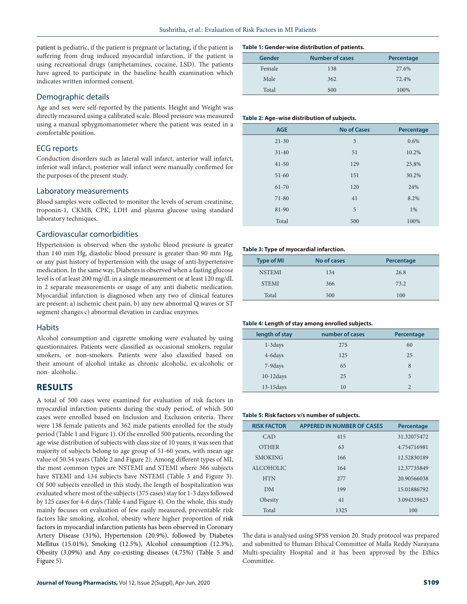patient is pediatric, if the patient is pregnant or lactating, if the patient is suffering from drug induced myocardial infarction, if the patient is using recreational drugs (amphetamines, cocaine, LSD). The patients have agreed to participate in the baseline health examination which indicates written informed consent.

# Demographic details

Age and sex were self-reported by the patients. Height and Weight was directly measured using a calibrated scale. Blood pressure was measured using a manual sphygmomanometer where the patient was seated in a comfortable position.

#### ECG reports

Conduction disorders such as lateral wall infarct, anterior wall infarct, inferior wall infarct, posterior wall infarct were manually confirmed for the purposes of the present study.

#### Laboratory measurements

Blood samples were collected to monitor the levels of serum creatinine, troponin-1, CKMB, CPK, LDH and plasma glucose using standard laboratory techniques.

## Cardiovascular comorbidities

Hypertension is observed when the systolic blood pressure is greater than 140 mm Hg, diastolic blood pressure is greater than 90 mm Hg, or any past history of hypertension with the usage of anti-hypertensive medication. In the same way, Diabetes is observed when a fasting glucose level is of at least 200 mg/dL in a single measurement or at least 120 mg/dL in 2 separate measurements or usage of any anti diabetic medication. Myocardial infarction is diagnosed when any two of clinical features are present: a) ischemic chest pain, b) any new abnormal Q waves or ST segment changes c) abnormal elevation in cardiac enzymes.

#### **Habits**

Alcohol consumption and cigarette smoking were evaluated by using questionnaires. Patients were classified as occasional smokers, regular smokers, or non-smokers. Patients were also classified based on their amount of alcohol intake as chronic alcoholic, ex-alcoholic or non- alcoholic.

# **RESULTS**

A total of 500 cases were examined for evaluation of risk factors in myocardial infarction patients during the study period, of which 500 cases were enrolled based on Inclusion and Exclusion criteria. There were 138 female patients and 362 male patients enrolled for the study period (Table 1 and Figure 1). Of the enrolled 500 patients, recording the age wise distribution of subjects with class size of 10 years, it was seen that majority of subjects belong to age group of 51-60 years, with mean age value of 50.54 years (Table 2 and Figure 2). Among different types of MI, the most common types are NSTEMI and STEMI where 366 subjects have STEMI and 134 subjects have NSTEMI (Table 3 and Figure 3). Of 500 subjects enrolled in this study, the length of hospitalization was evaluated where most of the subjects (375 cases) stay for 1-3 days followed by 125 cases for 4-6 days (Table 4 and Figure 4). On the whole, this study mainly focuses on evaluation of few easily measured, preventable risk factors like smoking, alcohol, obesity where higher proportion of risk factors in myocardial infarction patients has been observed in Coronary Artery Disease (31%), Hypertension (20.9%), followed by Diabetes Mellitus (15.01%), Smoking (12.5%), Alcohol consumption (12.3%), Obesity (3.09%) and Any co-existing diseases (4.75%) (Table 5 and Figure 5).

#### **Table 1: Gender-wise distribution of patients.**

| Gender | <b>Number of cases</b> | Percentage |
|--------|------------------------|------------|
| Female | 138                    | 27.6%      |
| Male   | 362                    | 72.4%      |
| Total  | 500                    | 100%       |

#### **Table 2: Age–wise distribution of subjects.**

| <b>AGE</b> | <b>No of Cases</b> | Percentage |
|------------|--------------------|------------|
| $21 - 30$  | 3                  | 0.6%       |
| $31 - 40$  | 51                 | 10.2%      |
| $41 - 50$  | 129                | 25.8%      |
| $51 - 60$  | 151                | 30.2%      |
| $61 - 70$  | 120                | 24%        |
| $71 - 80$  | 41                 | 8.2%       |
| 81-90      | 5                  | $1\%$      |
| Total      | 500                | 100%       |

#### **Table 3: Type of myocardial infarction.**

| <b>Type of MI</b> | No of cases | Percentage |
|-------------------|-------------|------------|
| <b>NSTEMI</b>     | 134         | 26.8       |
| <b>STEMI</b>      | 366         | 73.2       |
| Total             | 500         | 100        |

#### **Table 4: Length of stay among enrolled subjects.**

| length of stay | number of cases | Percentage |
|----------------|-----------------|------------|
| $1-3$ days     | 275             | 60         |
| 4-6days        | 125             | 25         |
| 7-9days        | 65              | 8          |
| $10-12$ days   | 25              | 5          |
| $13-15$ days   | 10              |            |

#### **Table 5: Risk factors v/s number of subjects.**

| <b>RISK FACTOR</b> | <b>APPERED IN NUMBER OF CASES</b> | Percentage  |
|--------------------|-----------------------------------|-------------|
| CAD                | 415                               | 31.32075472 |
| <b>OTHER</b>       | 63                                | 4.754716981 |
| <b>SMOKING</b>     | 166                               | 12.52830189 |
| <b>ALCOHOLIC</b>   | 164                               | 12.37735849 |
| <b>HTN</b>         | 277                               | 20.90566038 |
| DM                 | 199                               | 15.01886792 |
| Obesity            | 41                                | 3.094339623 |
| Total              | 1325                              | 100         |

The data is analysed using SPSS version 20. Study protocol was prepared and submitted to Human Ethical Committee of Malla Reddy Narayana Multi-speciality Hospital and it has been approved by the Ethics Committee.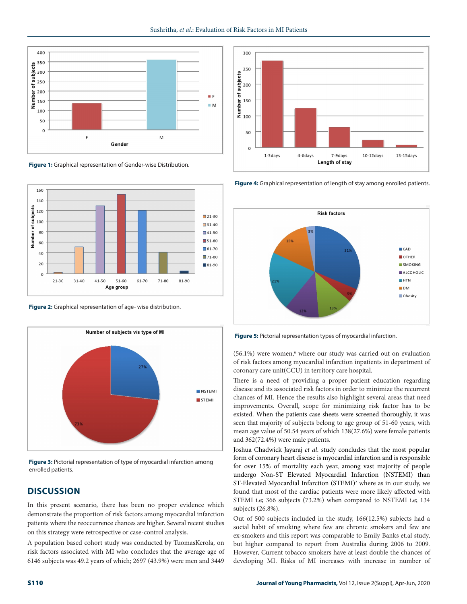



**Figure 1:** Graphical representation of Gender-wise Distribution.



**Figure 2:** Graphical representation of age- wise distribution.



**Figure 3:** Pictorial representation of type of myocardial infarction among enrolled patients.

# **DISCUSSION**

In this present scenario, there has been no proper evidence which demonstrate the proportion of risk factors among myocardial infarction patients where the reoccurrence chances are higher. Several recent studies on this strategy were retrospective or case-control analysis.

A population based cohort study was conducted by TuomasKerola, on risk factors associated with MI who concludes that the average age of 6146 subjects was 49.2 years of which; 2697 (43.9%) were men and 3449



**Figure 4:** Graphical representation of length of stay among enrolled patients.



**Figure 5:** Pictorial representation types of myocardial infarction.

 $(56.1%)$  were women, $6$  where our study was carried out on evaluation of risk factors among myocardial infarction inpatients in department of coronary care unit(CCU) in territory care hospital.

There is a need of providing a proper patient education regarding disease and its associated risk factors in order to minimize the recurrent chances of MI. Hence the results also highlight several areas that need improvements. Overall, scope for minimizing risk factor has to be existed. When the patients case sheets were screened thoroughly, it was seen that majority of subjects belong to age group of 51-60 years, with mean age value of 50.54 years of which 138(27.6%) were female patients and 362(72.4%) were male patients.

Joshua Chadwick Jayaraj *et al*. study concludes that the most popular form of coronary heart disease is myocardial infarction and is responsible for over 15% of mortality each year, among vast majority of people undergo Non-ST Elevated Myocardial Infarction (NSTEMI) than ST-Elevated Myocardial Infarction (STEMI)<sup>2</sup> where as in our study, we found that most of the cardiac patients were more likely affected with STEMI i.e; 366 subjects (73.2%) when compared to NSTEMI i.e; 134 subjects (26.8%).

Out of 500 subjects included in the study, 166(12.5%) subjects had a social habit of smoking where few are chronic smokers and few are ex-smokers and this report was comparable to Emily Banks et.al study, but higher compared to report from Australia during 2006 to 2009. However, Current tobacco smokers have at least double the chances of developing MI. Risks of MI increases with increase in number of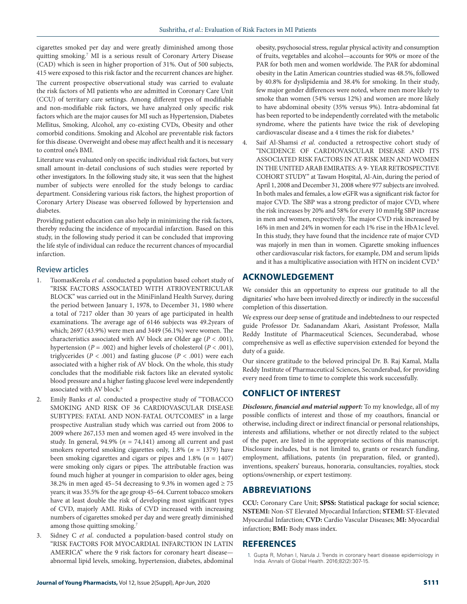cigarettes smoked per day and were greatly diminished among those quitting smoking.7 MI is a serious result of Coronary Artery Disease (CAD) which is seen in higher proportion of 31%. Out of 500 subjects, 415 were exposed to this risk factor and the recurrent chances are higher.

The current prospective observational study was carried to evaluate the risk factors of MI patients who are admitted in Coronary Care Unit (CCU) of territary care settings. Among different types of modifiable and non-modifiable risk factors, we have analyzed only specific risk factors which are the major causes for MI such as Hypertension, Diabetes Mellitus, Smoking, Alcohol, any co-existing CVDs, Obesity and other comorbid conditions. Smoking and Alcohol are preventable risk factors for this disease. Overweight and obese may affect health and it is necessary to control one's BMI.

Literature was evaluated only on specific individual risk factors, but very small amount in-detail conclusions of such studies were reported by other investigators. In the following study site, it was seen that the highest number of subjects were enrolled for the study belongs to cardiac department. Considering various risk factors, the highest proportion of Coronary Artery Disease was observed followed by hypertension and diabetes.

Providing patient education can also help in minimizing the risk factors, thereby reducing the incidence of myocardial infarction. Based on this study, in the following study period it can be concluded that improving the life style of individual can reduce the recurrent chances of myocardial infarction.

# Review articles

- 1. TuomasKerola *et al*. conducted a population based cohort study of "RISK FACTORS ASSOCIATED WITH ATRIOVENTRICULAR BLOCK" was carried out in the MiniFinland Health Survey, during the period between January 1, 1978, to December 31, 1980 where a total of 7217 older than 30 years of age participated in health examinations. The average age of 6146 subjects was 49.2years of which; 2697 (43.9%) were men and 3449 (56.1%) were women. The characteristics associated with AV block are Older age (*P* < .001), hypertension ( $P = .002$ ) and higher levels of cholesterol ( $P < .001$ ), triglycerides ( $P < .001$ ) and fasting glucose ( $P < .001$ ) were each associated with a higher risk of AV block. On the whole, this study concludes that the modifiable risk factors like an elevated systolic blood pressure and a higher fasting glucose level were independently associated with AV block.<sup>6</sup>
- 2. Emily Banks *et al*. conducted a prospective study of "TOBACCO SMOKING AND RISK OF 36 CARDIOVASCULAR DISEASE SUBTYPES: FATAL AND NON-FATAL OUTCOMES" in a large prospective Australian study which was carried out from 2006 to 2009 where 267,153 men and women aged 45 were involved in the study. In general,  $94.9\%$  ( $n = 74.141$ ) among all current and past smokers reported smoking cigarettes only, 1.8% (*n* = 1379) have been smoking cigarettes and cigars or pipes and 1.8% (*n* = 1407) were smoking only cigars or pipes. The attributable fraction was found much higher at younger in comparision to older ages, being 38.2% in men aged 45–54 decreasing to 9.3% in women aged  $\geq$  75 years; it was 35.5% for the age group 45–64. Current tobacco smokers have at least double the risk of developing most significant types of CVD, majorly AMI. Risks of CVD increased with increasing numbers of cigarettes smoked per day and were greatly diminished among those quitting smoking.7
- Sidney C *et al.* conducted a population-based control study on "RISK FACTORS FOR MYOCARDIAL INFARCTION IN LATIN AMERICA" where the 9 risk factors for coronary heart disease abnormal lipid levels, smoking, hypertension, diabetes, abdominal

obesity, psychosocial stress, regular physical activity and consumption of fruits, vegetables and alcohol—accounts for 90% or more of the PAR for both men and women worldwide. The PAR for abdominal obesity in the Latin American countries studied was 48.5%, followed by 40.8% for dyslipidemia and 38.4% for smoking. In their study, few major gender differences were noted, where men more likely to smoke than women (54% versus 12%) and women are more likely to have abdominal obesity (35% versus 9%). Intra-abdominal fat has been reported to be independently correlated with the metabolic syndrome, where the patients have twice the risk of developing cardiovascular disease and a 4 times the risk for diabetes.<sup>8</sup>

4. Saif Al-Shamsi *et al*. conducted a retrospective cohort study of "INCIDENCE OF CARDIOVASCULAR DISEASE AND ITS ASSOCIATED RISK FACTORS IN AT-RISK MEN AND WOMEN IN THE UNITED ARAB EMIRATES: A 9- YEAR RETROSPECTIVE COHORT STUDY" at Tawam Hospital, Al-Ain, during the period of April 1, 2008 and December 31, 2008 where 977 subjects are involved. In both males and females, a low eGFR was a significant risk factor for major CVD. The SBP was a strong predictor of major CVD, where the risk increases by 20% and 58% for every 10 mmHg SBP increase in men and women, respectively. The major CVD risk increased by 16% in men and 24% in women for each 1% rise in the HbA1c level. In this study, they have found that the incidence rate of major CVD was majorly in men than in women. Cigarette smoking influences other cardiovascular risk factors, for example, DM and serum lipids and it has a multiplicative association with HTN on incident CVD.9

# **ACKNOWLEDGEMENT**

We consider this an opportunity to express our gratitude to all the dignitaries' who have been involved directly or indirectly in the successful completion of this dissertation.

We express our deep sense of gratitude and indebtedness to our respected guide Professor Dr. Sadanandam Akari, Assistant Professor, Malla Reddy Institute of Pharmaceutical Sciences, Secunderabad, whose comprehensive as well as effective supervision extended for beyond the duty of a guide.

Our sincere gratitude to the beloved principal Dr. B. Raj Kamal, Malla Reddy Institute of Pharmaceutical Sciences, Secunderabad, for providing every need from time to time to complete this work successfully.

# **CONFLICT OF INTEREST**

*Disclosure, financial and material support:* To my knowledge, all of my possible conflicts of interest and those of my coauthors, financial or otherwise, including direct or indirect financial or personal relationships, interests and affiliations, whether or not directly related to the subject of the paper, are listed in the appropriate sections of this manuscript. Disclosure includes, but is not limited to, grants or research funding, employment, affiliations, patents (in preparation, filed, or granted), inventions, speakers' bureaus, honoraria, consultancies, royalties, stock options/ownership, or expert testimony.

# **ABBREVIATIONS**

**CCU:** Coronary Care Unit; **SPSS:** Statistical package for social science; **NSTEMI:** Non-ST Elevated Myocardial Infarction; **STEMI:** ST-Elevated Myocardial Infarction; **CVD:** Cardio Vascular Diseases; **MI:** Myocardial infarction; **BMI:** Body mass index.

# **REFERENCES**

1. Gupta R, Mohan I, Narula J. Trends in coronary heart disease epidemiology in India. Annals of Global Health. 2016;82(2):307-15.